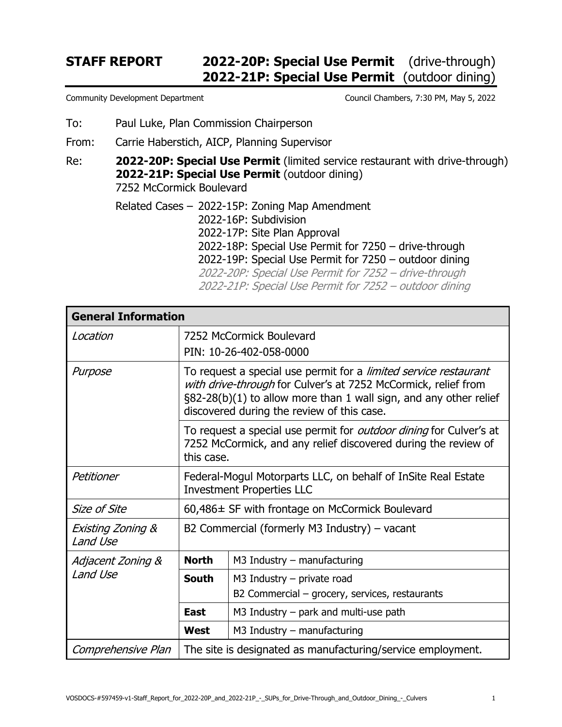## **STAFF REPORT 2022-20P: Special Use Permit** (drive-through)  **2022-21P: Special Use Permit** (outdoor dining)

- To: Paul Luke, Plan Commission Chairperson
- From: Carrie Haberstich, AICP, Planning Supervisor

Re: **2022-20P: Special Use Permit** (limited service restaurant with drive-through) **2022-21P: Special Use Permit** (outdoor dining) 7252 McCormick Boulevard

> Related Cases – 2022-15P: Zoning Map Amendment 2022-16P: Subdivision 2022-17P: Site Plan Approval 2022-18P: Special Use Permit for 7250 – drive-through 2022-19P: Special Use Permit for 7250 – outdoor dining 2022-20P: Special Use Permit for 7252 – drive-through 2022-21P: Special Use Permit for 7252 – outdoor dining

| <b>General Information</b>    |                                                                                                                                                                                                                                                                 |                                                                                |  |  |
|-------------------------------|-----------------------------------------------------------------------------------------------------------------------------------------------------------------------------------------------------------------------------------------------------------------|--------------------------------------------------------------------------------|--|--|
| Location                      |                                                                                                                                                                                                                                                                 | 7252 McCormick Boulevard<br>PIN: 10-26-402-058-0000                            |  |  |
| Purpose                       | To request a special use permit for a <i>limited service restaurant</i><br>with drive-through for Culver's at 7252 McCormick, relief from<br>$\S82-28(b)(1)$ to allow more than 1 wall sign, and any other relief<br>discovered during the review of this case. |                                                                                |  |  |
|                               | To request a special use permit for <i>outdoor dining</i> for Culver's at<br>7252 McCormick, and any relief discovered during the review of<br>this case.                                                                                                       |                                                                                |  |  |
| Petitioner                    | Federal-Mogul Motorparts LLC, on behalf of InSite Real Estate<br><b>Investment Properties LLC</b>                                                                                                                                                               |                                                                                |  |  |
| <b>Size of Site</b>           | 60,486± SF with frontage on McCormick Boulevard                                                                                                                                                                                                                 |                                                                                |  |  |
| Existing Zoning &<br>Land Use | B2 Commercial (formerly M3 Industry) $-$ vacant                                                                                                                                                                                                                 |                                                                                |  |  |
| Adjacent Zoning &<br>Land Use | <b>North</b>                                                                                                                                                                                                                                                    | $M3$ Industry – manufacturing                                                  |  |  |
|                               | <b>South</b>                                                                                                                                                                                                                                                    | $M3$ Industry – private road<br>B2 Commercial – grocery, services, restaurants |  |  |
|                               | East                                                                                                                                                                                                                                                            | M3 Industry $-$ park and multi-use path                                        |  |  |
|                               | West                                                                                                                                                                                                                                                            | $M3$ Industry – manufacturing                                                  |  |  |
| Comprehensive Plan            | The site is designated as manufacturing/service employment.                                                                                                                                                                                                     |                                                                                |  |  |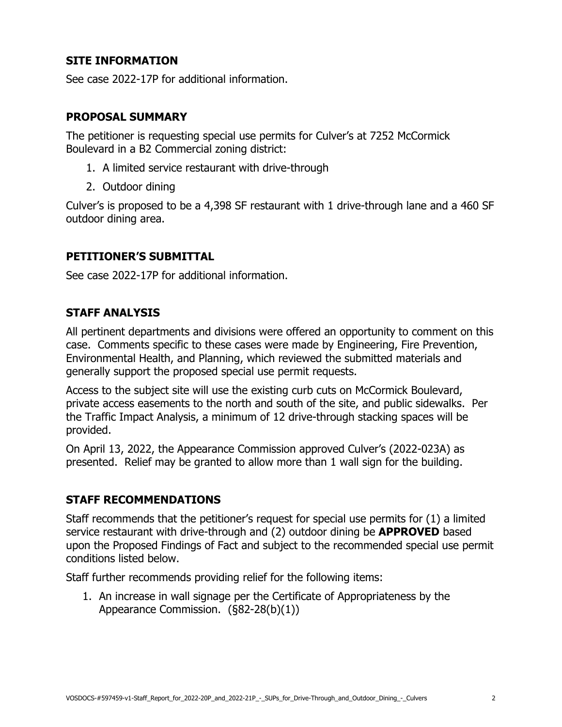## **SITE INFORMATION**

See case 2022-17P for additional information.

#### **PROPOSAL SUMMARY**

The petitioner is requesting special use permits for Culver's at 7252 McCormick Boulevard in a B2 Commercial zoning district:

- 1. A limited service restaurant with drive-through
- 2. Outdoor dining

Culver's is proposed to be a 4,398 SF restaurant with 1 drive-through lane and a 460 SF outdoor dining area.

## **PETITIONER'S SUBMITTAL**

See case 2022-17P for additional information.

#### **STAFF ANALYSIS**

All pertinent departments and divisions were offered an opportunity to comment on this case. Comments specific to these cases were made by Engineering, Fire Prevention, Environmental Health, and Planning, which reviewed the submitted materials and generally support the proposed special use permit requests.

Access to the subject site will use the existing curb cuts on McCormick Boulevard, private access easements to the north and south of the site, and public sidewalks. Per the Traffic Impact Analysis, a minimum of 12 drive-through stacking spaces will be provided.

On April 13, 2022, the Appearance Commission approved Culver's (2022-023A) as presented. Relief may be granted to allow more than 1 wall sign for the building.

## **STAFF RECOMMENDATIONS**

Staff recommends that the petitioner's request for special use permits for (1) a limited service restaurant with drive-through and (2) outdoor dining be **APPROVED** based upon the Proposed Findings of Fact and subject to the recommended special use permit conditions listed below.

Staff further recommends providing relief for the following items:

1. An increase in wall signage per the Certificate of Appropriateness by the Appearance Commission. (§82-28(b)(1))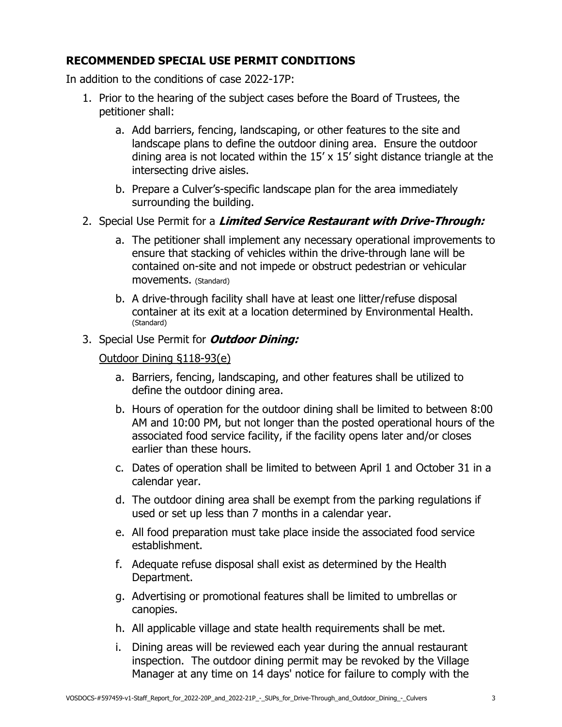## **RECOMMENDED SPECIAL USE PERMIT CONDITIONS**

In addition to the conditions of case 2022-17P:

- 1. Prior to the hearing of the subject cases before the Board of Trustees, the petitioner shall:
	- a. Add barriers, fencing, landscaping, or other features to the site and landscape plans to define the outdoor dining area. Ensure the outdoor dining area is not located within the 15' x 15' sight distance triangle at the intersecting drive aisles.
	- b. Prepare a Culver's-specific landscape plan for the area immediately surrounding the building.
- 2. Special Use Permit for a **Limited Service Restaurant with Drive-Through:**
	- a. The petitioner shall implement any necessary operational improvements to ensure that stacking of vehicles within the drive-through lane will be contained on-site and not impede or obstruct pedestrian or vehicular movements. (Standard)
	- b. A drive-through facility shall have at least one litter/refuse disposal container at its exit at a location determined by Environmental Health. (Standard)

#### 3. Special Use Permit for **Outdoor Dining:**

#### Outdoor Dining §118-93(e)

- a. Barriers, fencing, landscaping, and other features shall be utilized to define the outdoor dining area.
- b. Hours of operation for the outdoor dining shall be limited to between 8:00 AM and 10:00 PM, but not longer than the posted operational hours of the associated food service facility, if the facility opens later and/or closes earlier than these hours.
- c. Dates of operation shall be limited to between April 1 and October 31 in a calendar year.
- d. The outdoor dining area shall be exempt from the parking regulations if used or set up less than 7 months in a calendar year.
- e. All food preparation must take place inside the associated food service establishment.
- f. Adequate refuse disposal shall exist as determined by the Health Department.
- g. Advertising or promotional features shall be limited to umbrellas or canopies.
- h. All applicable village and state health requirements shall be met.
- i. Dining areas will be reviewed each year during the annual restaurant inspection. The outdoor dining permit may be revoked by the Village Manager at any time on 14 days' notice for failure to comply with the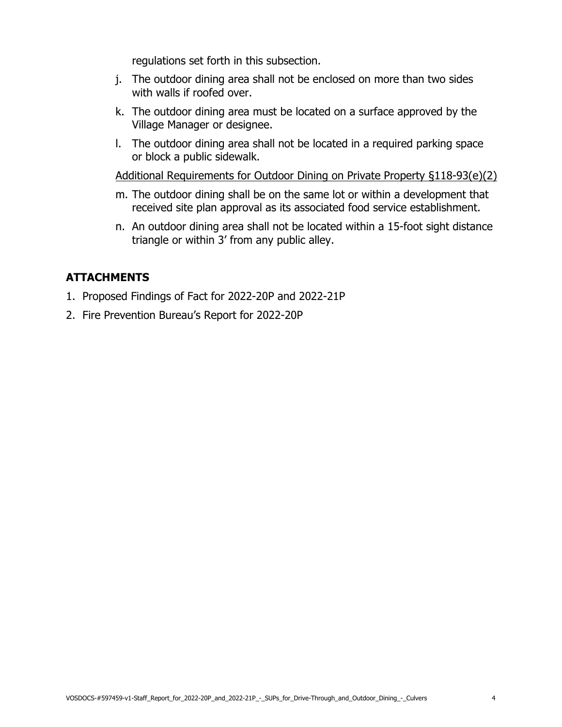regulations set forth in this subsection.

- j. The outdoor dining area shall not be enclosed on more than two sides with walls if roofed over.
- k. The outdoor dining area must be located on a surface approved by the Village Manager or designee.
- l. The outdoor dining area shall not be located in a required parking space or block a public sidewalk.

Additional Requirements for Outdoor Dining on Private Property §118-93(e)(2)

- m. The outdoor dining shall be on the same lot or within a development that received site plan approval as its associated food service establishment.
- n. An outdoor dining area shall not be located within a 15-foot sight distance triangle or within 3' from any public alley.

## **ATTACHMENTS**

- 1. Proposed Findings of Fact for 2022-20P and 2022-21P
- 2. Fire Prevention Bureau's Report for 2022-20P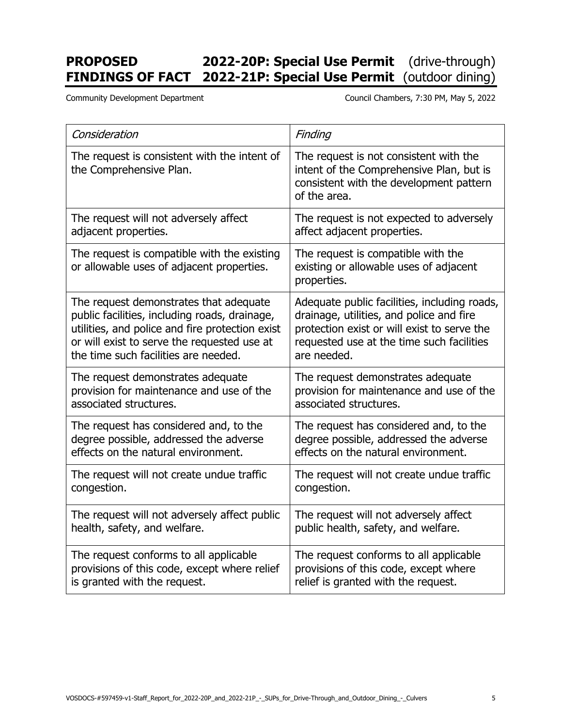# **PROPOSED 2022-20P: Special Use Permit** (drive-through) **FINDINGS OF FACT 2022-21P: Special Use Permit** (outdoor dining)

Community Development Department Council Chambers, 7:30 PM, May 5, 2022

| Consideration                                                                            | Finding                                                                                                                                       |  |
|------------------------------------------------------------------------------------------|-----------------------------------------------------------------------------------------------------------------------------------------------|--|
| The request is consistent with the intent of<br>the Comprehensive Plan.                  | The request is not consistent with the<br>intent of the Comprehensive Plan, but is<br>consistent with the development pattern<br>of the area. |  |
| The request will not adversely affect                                                    | The request is not expected to adversely                                                                                                      |  |
| adjacent properties.                                                                     | affect adjacent properties.                                                                                                                   |  |
| The request is compatible with the existing<br>or allowable uses of adjacent properties. | The request is compatible with the<br>existing or allowable uses of adjacent<br>properties.                                                   |  |
| The request demonstrates that adequate                                                   | Adequate public facilities, including roads,                                                                                                  |  |
| public facilities, including roads, drainage,                                            | drainage, utilities, and police and fire                                                                                                      |  |
| utilities, and police and fire protection exist                                          | protection exist or will exist to serve the                                                                                                   |  |
| or will exist to serve the requested use at                                              | requested use at the time such facilities                                                                                                     |  |
| the time such facilities are needed.                                                     | are needed.                                                                                                                                   |  |
| The request demonstrates adequate                                                        | The request demonstrates adequate                                                                                                             |  |
| provision for maintenance and use of the                                                 | provision for maintenance and use of the                                                                                                      |  |
| associated structures.                                                                   | associated structures.                                                                                                                        |  |
| The request has considered and, to the                                                   | The request has considered and, to the                                                                                                        |  |
| degree possible, addressed the adverse                                                   | degree possible, addressed the adverse                                                                                                        |  |
| effects on the natural environment.                                                      | effects on the natural environment.                                                                                                           |  |
| The request will not create undue traffic                                                | The request will not create undue traffic                                                                                                     |  |
| congestion.                                                                              | congestion.                                                                                                                                   |  |
| The request will not adversely affect public                                             | The request will not adversely affect                                                                                                         |  |
| health, safety, and welfare.                                                             | public health, safety, and welfare.                                                                                                           |  |
| The request conforms to all applicable                                                   | The request conforms to all applicable                                                                                                        |  |
| provisions of this code, except where relief                                             | provisions of this code, except where                                                                                                         |  |
| is granted with the request.                                                             | relief is granted with the request.                                                                                                           |  |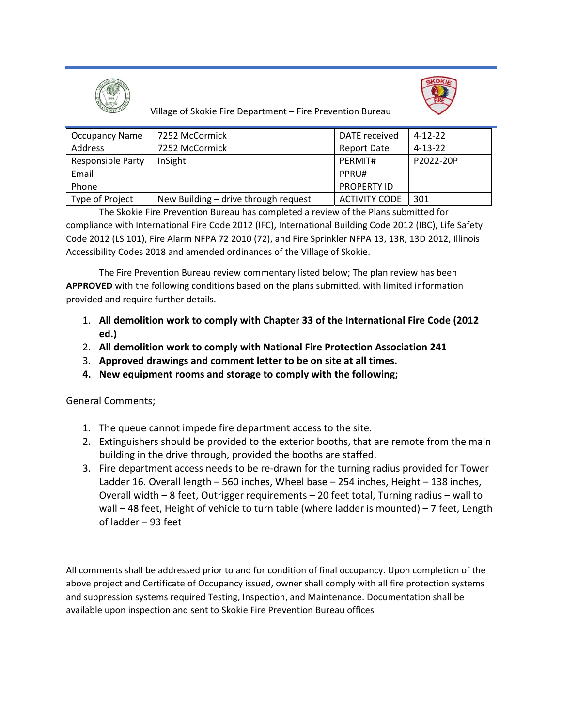



Village of Skokie Fire Department – Fire Prevention Bureau

| <b>Occupancy Name</b>    | 7252 McCormick                       | DATE received        | $4 - 12 - 22$ |
|--------------------------|--------------------------------------|----------------------|---------------|
| Address                  | 7252 McCormick                       | <b>Report Date</b>   | $4 - 13 - 22$ |
| <b>Responsible Party</b> | InSight                              | PERMIT#              | P2022-20P     |
| Email                    |                                      | PPRU#                |               |
| Phone                    |                                      | <b>PROPERTY ID</b>   |               |
| Type of Project          | New Building - drive through request | <b>ACTIVITY CODE</b> | 301           |

The Skokie Fire Prevention Bureau has completed a review of the Plans submitted for compliance with International Fire Code 2012 (IFC), International Building Code 2012 (IBC), Life Safety Code 2012 (LS 101), Fire Alarm NFPA 72 2010 (72), and Fire Sprinkler NFPA 13, 13R, 13D 2012, Illinois Accessibility Codes 2018 and amended ordinances of the Village of Skokie.

The Fire Prevention Bureau review commentary listed below; The plan review has been **APPROVED** with the following conditions based on the plans submitted, with limited information provided and require further details.

- 1. **All demolition work to comply with Chapter 33 of the International Fire Code (2012 ed.)**
- 2. **All demolition work to comply with National Fire Protection Association 241**
- 3. **Approved drawings and comment letter to be on site at all times.**
- **4. New equipment rooms and storage to comply with the following;**

General Comments;

- 1. The queue cannot impede fire department access to the site.
- 2. Extinguishers should be provided to the exterior booths, that are remote from the main building in the drive through, provided the booths are staffed.
- 3. Fire department access needs to be re‐drawn for the turning radius provided for Tower Ladder 16. Overall length – 560 inches, Wheel base – 254 inches, Height – 138 inches, Overall width – 8 feet, Outrigger requirements – 20 feet total, Turning radius – wall to wall – 48 feet, Height of vehicle to turn table (where ladder is mounted) – 7 feet, Length of ladder – 93 feet

All comments shall be addressed prior to and for condition of final occupancy. Upon completion of the above project and Certificate of Occupancy issued, owner shall comply with all fire protection systems and suppression systems required Testing, Inspection, and Maintenance. Documentation shall be available upon inspection and sent to Skokie Fire Prevention Bureau offices